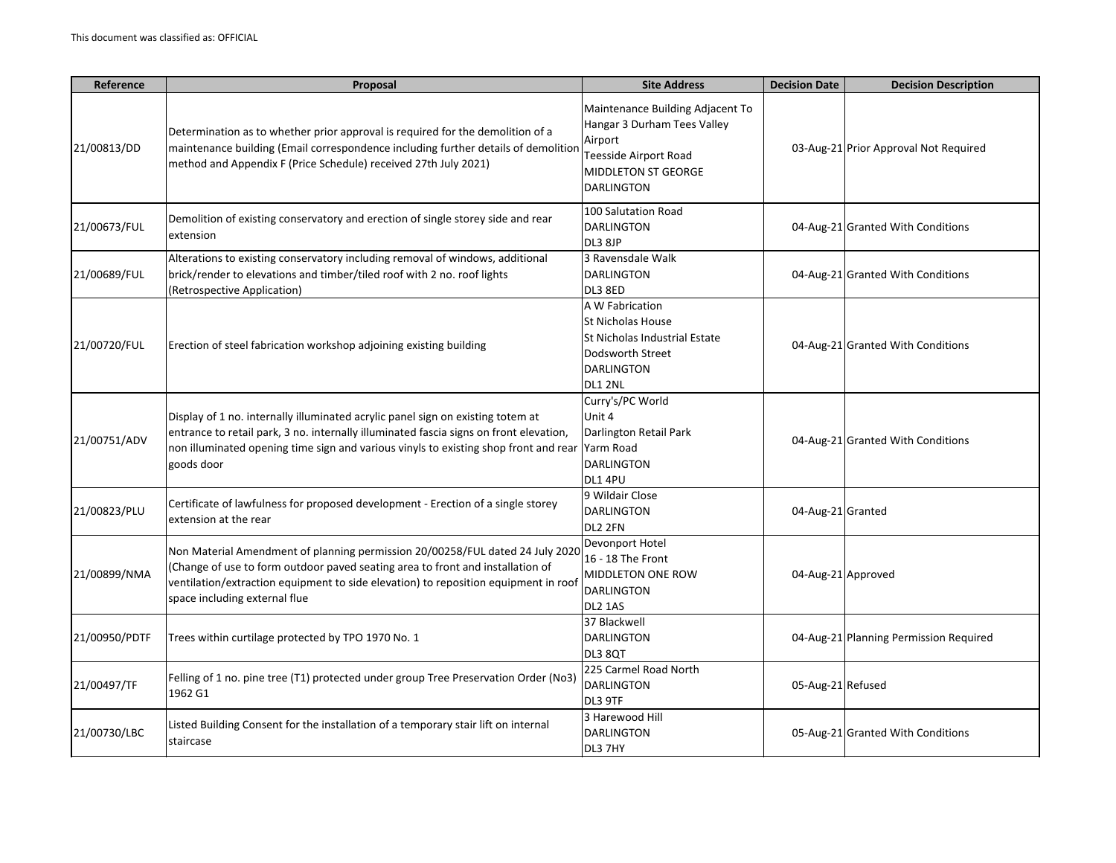| Reference     | Proposal                                                                                                                                                                                                                                                                                  | <b>Site Address</b>                                                                                                                             | <b>Decision Date</b> | <b>Decision Description</b>            |
|---------------|-------------------------------------------------------------------------------------------------------------------------------------------------------------------------------------------------------------------------------------------------------------------------------------------|-------------------------------------------------------------------------------------------------------------------------------------------------|----------------------|----------------------------------------|
| 21/00813/DD   | Determination as to whether prior approval is required for the demolition of a<br>maintenance building (Email correspondence including further details of demolition<br>method and Appendix F (Price Schedule) received 27th July 2021)                                                   | Maintenance Building Adjacent To<br>Hangar 3 Durham Tees Valley<br>Airport<br>Teesside Airport Road<br>MIDDLETON ST GEORGE<br><b>DARLINGTON</b> |                      | 03-Aug-21 Prior Approval Not Required  |
| 21/00673/FUL  | Demolition of existing conservatory and erection of single storey side and rear<br>extension                                                                                                                                                                                              | 100 Salutation Road<br><b>DARLINGTON</b><br>DL3 8JP                                                                                             |                      | 04-Aug-21 Granted With Conditions      |
| 21/00689/FUL  | Alterations to existing conservatory including removal of windows, additional<br>brick/render to elevations and timber/tiled roof with 2 no. roof lights<br>(Retrospective Application)                                                                                                   | 3 Ravensdale Walk<br>DARLINGTON<br>DL3 8ED                                                                                                      |                      | 04-Aug-21 Granted With Conditions      |
| 21/00720/FUL  | Erection of steel fabrication workshop adjoining existing building                                                                                                                                                                                                                        | A W Fabrication<br><b>St Nicholas House</b><br>St Nicholas Industrial Estate<br>Dodsworth Street<br><b>DARLINGTON</b><br>DL1 2NL                |                      | 04-Aug-21 Granted With Conditions      |
| 21/00751/ADV  | Display of 1 no. internally illuminated acrylic panel sign on existing totem at<br>entrance to retail park, 3 no. internally illuminated fascia signs on front elevation,<br>non illuminated opening time sign and various vinyls to existing shop front and rear Yarm Road<br>goods door | Curry's/PC World<br>Unit 4<br>Darlington Retail Park<br><b>DARLINGTON</b><br>DL1 4PU                                                            |                      | 04-Aug-21 Granted With Conditions      |
| 21/00823/PLU  | Certificate of lawfulness for proposed development - Erection of a single storey<br>extension at the rear                                                                                                                                                                                 | 9 Wildair Close<br><b>DARLINGTON</b><br>DL2 2FN                                                                                                 | 04-Aug-21 Granted    |                                        |
| 21/00899/NMA  | Non Material Amendment of planning permission 20/00258/FUL dated 24 July 2020<br>(Change of use to form outdoor paved seating area to front and installation of<br>ventilation/extraction equipment to side elevation) to reposition equipment in roof<br>space including external flue   | Devonport Hotel<br>16 - 18 The Front<br>MIDDLETON ONE ROW<br><b>DARLINGTON</b><br>DL2 1AS                                                       | 04-Aug-21 Approved   |                                        |
| 21/00950/PDTF | Trees within curtilage protected by TPO 1970 No. 1                                                                                                                                                                                                                                        | 37 Blackwell<br><b>DARLINGTON</b><br>DL3 8QT                                                                                                    |                      | 04-Aug-21 Planning Permission Required |
| 21/00497/TF   | Felling of 1 no. pine tree (T1) protected under group Tree Preservation Order (No3)<br>1962 G1                                                                                                                                                                                            | 225 Carmel Road North<br><b>DARLINGTON</b><br>DL3 9TF                                                                                           | 05-Aug-21 Refused    |                                        |
| 21/00730/LBC  | Listed Building Consent for the installation of a temporary stair lift on internal<br>staircase                                                                                                                                                                                           | 3 Harewood Hill<br><b>DARLINGTON</b><br>DL3 7HY                                                                                                 |                      | 05-Aug-21 Granted With Conditions      |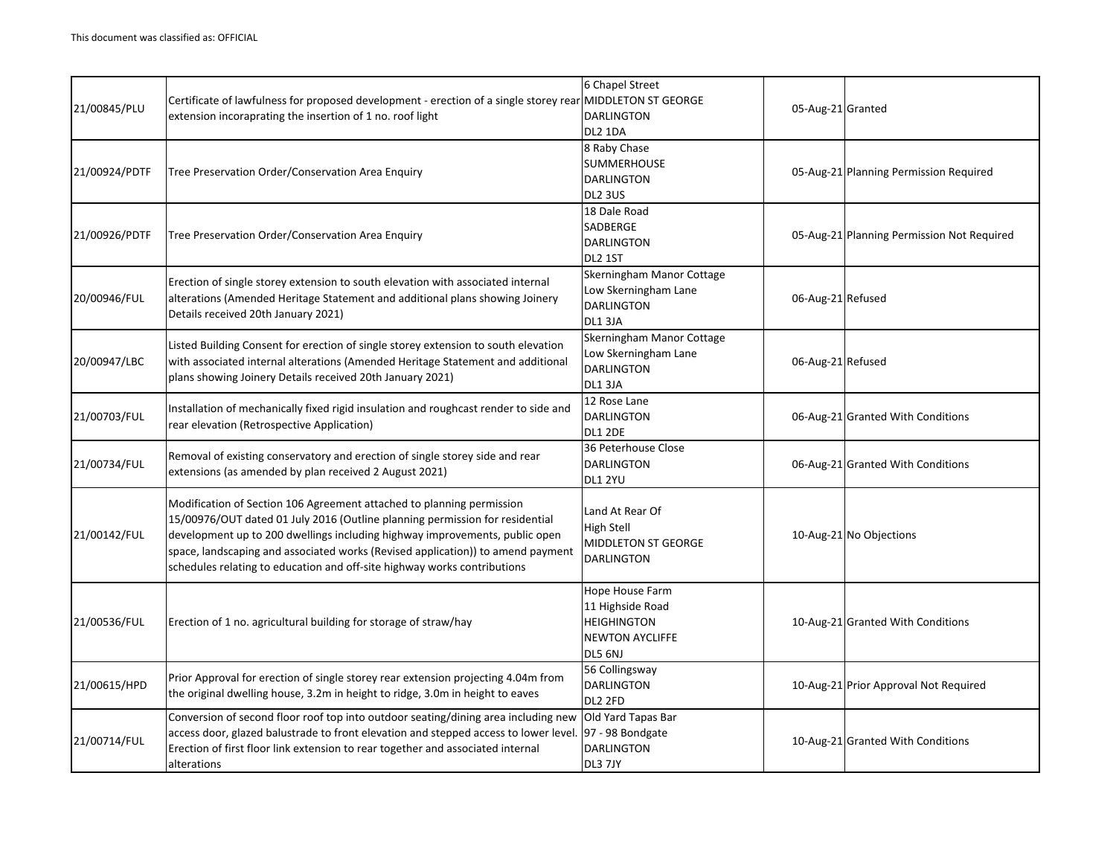| 21/00845/PLU  | Certificate of lawfulness for proposed development - erection of a single storey rear MIDDLETON ST GEORGE<br>extension incoraprating the insertion of 1 no. roof light                                                                                                                                                                                                                              | 6 Chapel Street<br><b>DARLINGTON</b><br>DL2 1DA                                                | 05-Aug-21 Granted                          |
|---------------|-----------------------------------------------------------------------------------------------------------------------------------------------------------------------------------------------------------------------------------------------------------------------------------------------------------------------------------------------------------------------------------------------------|------------------------------------------------------------------------------------------------|--------------------------------------------|
| 21/00924/PDTF | Tree Preservation Order/Conservation Area Enquiry                                                                                                                                                                                                                                                                                                                                                   | 8 Raby Chase<br><b>SUMMERHOUSE</b><br><b>DARLINGTON</b><br>DL2 3US                             | 05-Aug-21 Planning Permission Required     |
| 21/00926/PDTF | Tree Preservation Order/Conservation Area Enquiry                                                                                                                                                                                                                                                                                                                                                   | 18 Dale Road<br>SADBERGE<br><b>DARLINGTON</b><br>DL2 1ST                                       | 05-Aug-21 Planning Permission Not Required |
| 20/00946/FUL  | Erection of single storey extension to south elevation with associated internal<br>alterations (Amended Heritage Statement and additional plans showing Joinery<br>Details received 20th January 2021)                                                                                                                                                                                              | Skerningham Manor Cottage<br>Low Skerningham Lane<br><b>DARLINGTON</b><br>DL1 3JA              | 06-Aug-21 Refused                          |
| 20/00947/LBC  | Listed Building Consent for erection of single storey extension to south elevation<br>with associated internal alterations (Amended Heritage Statement and additional<br>plans showing Joinery Details received 20th January 2021)                                                                                                                                                                  | Skerningham Manor Cottage<br>Low Skerningham Lane<br><b>DARLINGTON</b><br>DL1 3JA              | 06-Aug-21 Refused                          |
| 21/00703/FUL  | Installation of mechanically fixed rigid insulation and roughcast render to side and<br>rear elevation (Retrospective Application)                                                                                                                                                                                                                                                                  | 12 Rose Lane<br><b>DARLINGTON</b><br><b>DL1 2DE</b>                                            | 06-Aug-21 Granted With Conditions          |
| 21/00734/FUL  | Removal of existing conservatory and erection of single storey side and rear<br>extensions (as amended by plan received 2 August 2021)                                                                                                                                                                                                                                                              | 36 Peterhouse Close<br><b>DARLINGTON</b><br>DL1 2YU                                            | 06-Aug-21 Granted With Conditions          |
| 21/00142/FUL  | Modification of Section 106 Agreement attached to planning permission<br>15/00976/OUT dated 01 July 2016 (Outline planning permission for residential<br>development up to 200 dwellings including highway improvements, public open<br>space, landscaping and associated works (Revised application)) to amend payment<br>schedules relating to education and off-site highway works contributions | Land At Rear Of<br><b>High Stell</b><br><b>MIDDLETON ST GEORGE</b><br><b>DARLINGTON</b>        | 10-Aug-21 No Objections                    |
| 21/00536/FUL  | Erection of 1 no. agricultural building for storage of straw/hay                                                                                                                                                                                                                                                                                                                                    | Hope House Farm<br>11 Highside Road<br><b>HEIGHINGTON</b><br><b>NEWTON AYCLIFFE</b><br>DL5 6NJ | 10-Aug-21 Granted With Conditions          |
| 21/00615/HPD  | Prior Approval for erection of single storey rear extension projecting 4.04m from<br>the original dwelling house, 3.2m in height to ridge, 3.0m in height to eaves                                                                                                                                                                                                                                  | 56 Collingsway<br><b>DARLINGTON</b><br>DL2 2FD                                                 | 10-Aug-21 Prior Approval Not Required      |
| 21/00714/FUL  | Conversion of second floor roof top into outdoor seating/dining area including new<br>access door, glazed balustrade to front elevation and stepped access to lower level.<br>Erection of first floor link extension to rear together and associated internal<br>alterations                                                                                                                        | Old Yard Tapas Bar<br>97 - 98 Bondgate<br><b>DARLINGTON</b><br>DL3 7JY                         | 10-Aug-21 Granted With Conditions          |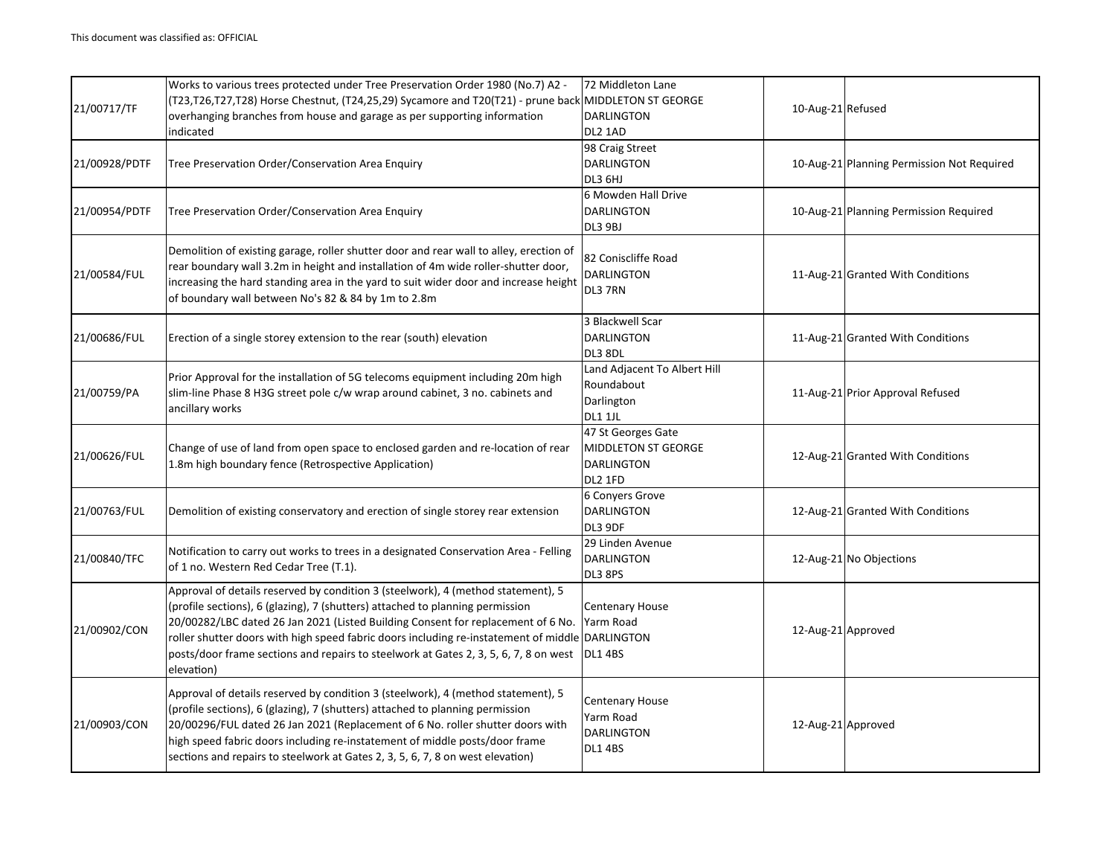| 21/00717/TF   | Works to various trees protected under Tree Preservation Order 1980 (No.7) A2 -<br>(T23,T26,T27,T28) Horse Chestnut, (T24,25,29) Sycamore and T20(T21) - prune back MIDDLETON ST GEORGE<br>overhanging branches from house and garage as per supporting information<br>indicated                                                                                                                                                                               | 72 Middleton Lane<br><b>DARLINGTON</b><br>DL2 1AD                         | 10-Aug-21 Refused  |                                            |
|---------------|----------------------------------------------------------------------------------------------------------------------------------------------------------------------------------------------------------------------------------------------------------------------------------------------------------------------------------------------------------------------------------------------------------------------------------------------------------------|---------------------------------------------------------------------------|--------------------|--------------------------------------------|
| 21/00928/PDTF | Tree Preservation Order/Conservation Area Enquiry                                                                                                                                                                                                                                                                                                                                                                                                              | 98 Craig Street<br><b>DARLINGTON</b><br>DL3 6HJ                           |                    | 10-Aug-21 Planning Permission Not Required |
| 21/00954/PDTF | Tree Preservation Order/Conservation Area Enquiry                                                                                                                                                                                                                                                                                                                                                                                                              | 6 Mowden Hall Drive<br><b>DARLINGTON</b><br>DL3 9BJ                       |                    | 10-Aug-21 Planning Permission Required     |
| 21/00584/FUL  | Demolition of existing garage, roller shutter door and rear wall to alley, erection of<br>rear boundary wall 3.2m in height and installation of 4m wide roller-shutter door,<br>increasing the hard standing area in the yard to suit wider door and increase height<br>of boundary wall between No's 82 & 84 by 1m to 2.8m                                                                                                                                    | 82 Coniscliffe Road<br><b>DARLINGTON</b><br>DL3 7RN                       |                    | 11-Aug-21 Granted With Conditions          |
| 21/00686/FUL  | Erection of a single storey extension to the rear (south) elevation                                                                                                                                                                                                                                                                                                                                                                                            | 3 Blackwell Scar<br><b>DARLINGTON</b><br>DL3 8DL                          |                    | 11-Aug-21 Granted With Conditions          |
| 21/00759/PA   | Prior Approval for the installation of 5G telecoms equipment including 20m high<br>slim-line Phase 8 H3G street pole c/w wrap around cabinet, 3 no. cabinets and<br>ancillary works                                                                                                                                                                                                                                                                            | Land Adjacent To Albert Hill<br>Roundabout<br>Darlington<br>DL1 1JL       |                    | 11-Aug-21 Prior Approval Refused           |
| 21/00626/FUL  | Change of use of land from open space to enclosed garden and re-location of rear<br>1.8m high boundary fence (Retrospective Application)                                                                                                                                                                                                                                                                                                                       | 47 St Georges Gate<br>MIDDLETON ST GEORGE<br><b>DARLINGTON</b><br>DL2 1FD |                    | 12-Aug-21 Granted With Conditions          |
| 21/00763/FUL  | Demolition of existing conservatory and erection of single storey rear extension                                                                                                                                                                                                                                                                                                                                                                               | 6 Conyers Grove<br><b>DARLINGTON</b><br>DL3 9DF                           |                    | 12-Aug-21 Granted With Conditions          |
| 21/00840/TFC  | Notification to carry out works to trees in a designated Conservation Area - Felling<br>of 1 no. Western Red Cedar Tree (T.1).                                                                                                                                                                                                                                                                                                                                 | 29 Linden Avenue<br>DARLINGTON<br>DL3 8PS                                 |                    | 12-Aug-21 No Objections                    |
| 21/00902/CON  | Approval of details reserved by condition 3 (steelwork), 4 (method statement), 5<br>(profile sections), 6 (glazing), 7 (shutters) attached to planning permission<br>20/00282/LBC dated 26 Jan 2021 (Listed Building Consent for replacement of 6 No.<br>roller shutter doors with high speed fabric doors including re-instatement of middle DARLINGTON<br>posts/door frame sections and repairs to steelwork at Gates 2, 3, 5, 6, 7, 8 on west<br>elevation) | <b>Centenary House</b><br>Yarm Road<br><b>DL1 4BS</b>                     | 12-Aug-21 Approved |                                            |
| 21/00903/CON  | Approval of details reserved by condition 3 (steelwork), 4 (method statement), 5<br>(profile sections), 6 (glazing), 7 (shutters) attached to planning permission<br>20/00296/FUL dated 26 Jan 2021 (Replacement of 6 No. roller shutter doors with<br>high speed fabric doors including re-instatement of middle posts/door frame<br>sections and repairs to steelwork at Gates 2, 3, 5, 6, 7, 8 on west elevation)                                           | Centenary House<br>Yarm Road<br><b>DARLINGTON</b><br><b>DL1 4BS</b>       | 12-Aug-21 Approved |                                            |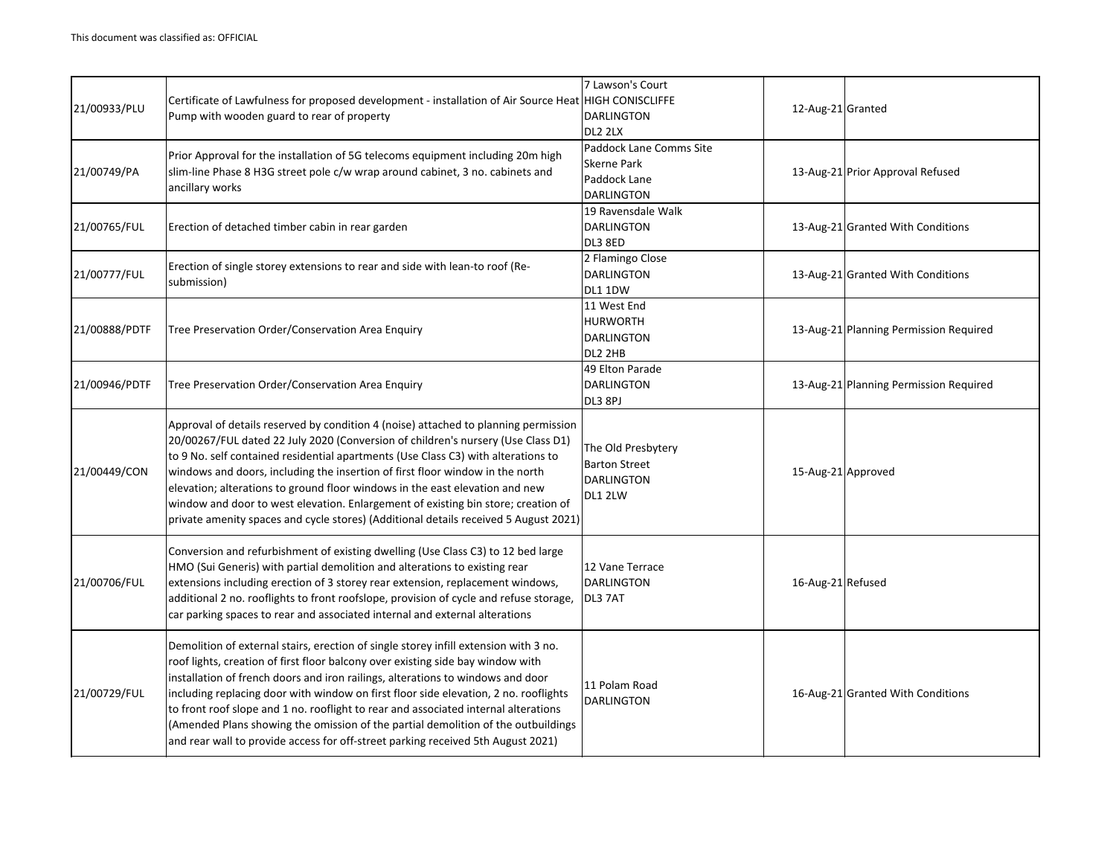| 21/00933/PLU  | Certificate of Lawfulness for proposed development - installation of Air Source Heat HIGH CONISCLIFFE<br>Pump with wooden guard to rear of property                                                                                                                                                                                                                                                                                                                                                                                                                                                                | 7 Lawson's Court<br><b>DARLINGTON</b><br>DL2 2LX                                   | 12-Aug-21 Granted  |                                        |
|---------------|--------------------------------------------------------------------------------------------------------------------------------------------------------------------------------------------------------------------------------------------------------------------------------------------------------------------------------------------------------------------------------------------------------------------------------------------------------------------------------------------------------------------------------------------------------------------------------------------------------------------|------------------------------------------------------------------------------------|--------------------|----------------------------------------|
| 21/00749/PA   | Prior Approval for the installation of 5G telecoms equipment including 20m high<br>slim-line Phase 8 H3G street pole c/w wrap around cabinet, 3 no. cabinets and<br>ancillary works                                                                                                                                                                                                                                                                                                                                                                                                                                | Paddock Lane Comms Site<br><b>Skerne Park</b><br>Paddock Lane<br><b>DARLINGTON</b> |                    | 13-Aug-21 Prior Approval Refused       |
| 21/00765/FUL  | Erection of detached timber cabin in rear garden                                                                                                                                                                                                                                                                                                                                                                                                                                                                                                                                                                   | 19 Ravensdale Walk<br><b>DARLINGTON</b><br>DL3 8ED                                 |                    | 13-Aug-21 Granted With Conditions      |
| 21/00777/FUL  | Erection of single storey extensions to rear and side with lean-to roof (Re-<br>submission)                                                                                                                                                                                                                                                                                                                                                                                                                                                                                                                        | 2 Flamingo Close<br><b>DARLINGTON</b><br>DL1 1DW                                   |                    | 13-Aug-21 Granted With Conditions      |
| 21/00888/PDTF | Tree Preservation Order/Conservation Area Enquiry                                                                                                                                                                                                                                                                                                                                                                                                                                                                                                                                                                  | 11 West End<br><b>HURWORTH</b><br><b>DARLINGTON</b><br>DL2 2HB                     |                    | 13-Aug-21 Planning Permission Required |
| 21/00946/PDTF | Tree Preservation Order/Conservation Area Enquiry                                                                                                                                                                                                                                                                                                                                                                                                                                                                                                                                                                  | 49 Elton Parade<br><b>DARLINGTON</b><br>DL3 8PJ                                    |                    | 13-Aug-21 Planning Permission Required |
| 21/00449/CON  | Approval of details reserved by condition 4 (noise) attached to planning permission<br>20/00267/FUL dated 22 July 2020 (Conversion of children's nursery (Use Class D1)<br>to 9 No. self contained residential apartments (Use Class C3) with alterations to<br>windows and doors, including the insertion of first floor window in the north<br>elevation; alterations to ground floor windows in the east elevation and new<br>window and door to west elevation. Enlargement of existing bin store; creation of<br>private amenity spaces and cycle stores) (Additional details received 5 August 2021)         | The Old Presbytery<br><b>Barton Street</b><br><b>DARLINGTON</b><br>DL1 2LW         | 15-Aug-21 Approved |                                        |
| 21/00706/FUL  | Conversion and refurbishment of existing dwelling (Use Class C3) to 12 bed large<br>HMO (Sui Generis) with partial demolition and alterations to existing rear<br>extensions including erection of 3 storey rear extension, replacement windows,<br>additional 2 no. rooflights to front roofslope, provision of cycle and refuse storage,<br>car parking spaces to rear and associated internal and external alterations                                                                                                                                                                                          | 12 Vane Terrace<br><b>DARLINGTON</b><br>DL3 7AT                                    | 16-Aug-21 Refused  |                                        |
| 21/00729/FUL  | Demolition of external stairs, erection of single storey infill extension with 3 no.<br>roof lights, creation of first floor balcony over existing side bay window with<br>installation of french doors and iron railings, alterations to windows and door<br>including replacing door with window on first floor side elevation, 2 no. rooflights<br>to front roof slope and 1 no. rooflight to rear and associated internal alterations<br>(Amended Plans showing the omission of the partial demolition of the outbuildings<br>and rear wall to provide access for off-street parking received 5th August 2021) | 11 Polam Road<br><b>DARLINGTON</b>                                                 |                    | 16-Aug-21 Granted With Conditions      |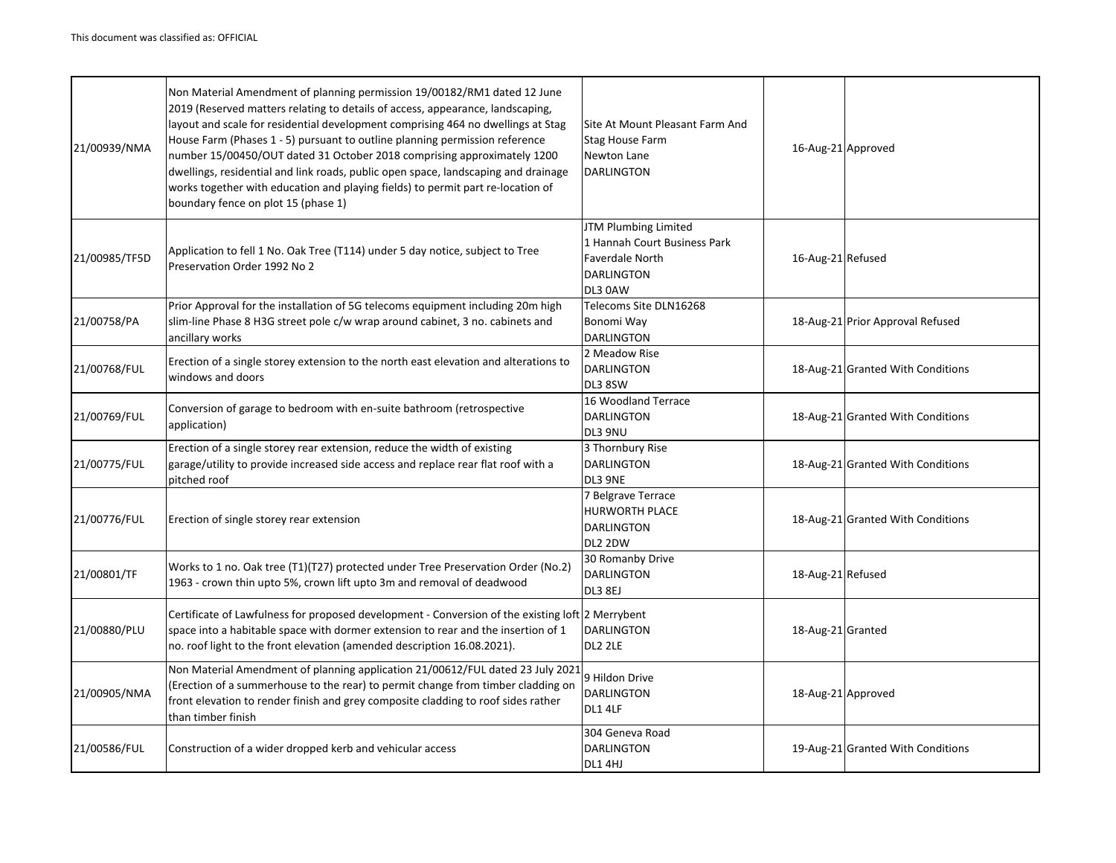| 21/00939/NMA  | Non Material Amendment of planning permission 19/00182/RM1 dated 12 June<br>2019 (Reserved matters relating to details of access, appearance, landscaping,<br>layout and scale for residential development comprising 464 no dwellings at Stag<br>House Farm (Phases 1 - 5) pursuant to outline planning permission reference<br>number 15/00450/OUT dated 31 October 2018 comprising approximately 1200<br>dwellings, residential and link roads, public open space, landscaping and drainage<br>works together with education and playing fields) to permit part re-location of | Site At Mount Pleasant Farm And<br><b>Stag House Farm</b><br>Newton Lane<br><b>DARLINGTON</b>                  | 16-Aug-21 Approved |                                   |
|---------------|-----------------------------------------------------------------------------------------------------------------------------------------------------------------------------------------------------------------------------------------------------------------------------------------------------------------------------------------------------------------------------------------------------------------------------------------------------------------------------------------------------------------------------------------------------------------------------------|----------------------------------------------------------------------------------------------------------------|--------------------|-----------------------------------|
|               | boundary fence on plot 15 (phase 1)                                                                                                                                                                                                                                                                                                                                                                                                                                                                                                                                               |                                                                                                                |                    |                                   |
| 21/00985/TF5D | Application to fell 1 No. Oak Tree (T114) under 5 day notice, subject to Tree<br>Preservation Order 1992 No 2                                                                                                                                                                                                                                                                                                                                                                                                                                                                     | JTM Plumbing Limited<br>1 Hannah Court Business Park<br><b>Faverdale North</b><br><b>DARLINGTON</b><br>DL3 0AW | 16-Aug-21 Refused  |                                   |
| 21/00758/PA   | Prior Approval for the installation of 5G telecoms equipment including 20m high<br>slim-line Phase 8 H3G street pole c/w wrap around cabinet, 3 no. cabinets and<br>ancillary works                                                                                                                                                                                                                                                                                                                                                                                               | Telecoms Site DLN16268<br>Bonomi Way<br><b>DARLINGTON</b>                                                      |                    | 18-Aug-21 Prior Approval Refused  |
| 21/00768/FUL  | Erection of a single storey extension to the north east elevation and alterations to<br>windows and doors                                                                                                                                                                                                                                                                                                                                                                                                                                                                         | 2 Meadow Rise<br><b>DARLINGTON</b><br>DL3 8SW                                                                  |                    | 18-Aug-21 Granted With Conditions |
| 21/00769/FUL  | Conversion of garage to bedroom with en-suite bathroom (retrospective<br>application)                                                                                                                                                                                                                                                                                                                                                                                                                                                                                             | 16 Woodland Terrace<br><b>DARLINGTON</b><br>DL3 9NU                                                            |                    | 18-Aug-21 Granted With Conditions |
| 21/00775/FUL  | Erection of a single storey rear extension, reduce the width of existing<br>garage/utility to provide increased side access and replace rear flat roof with a<br>pitched roof                                                                                                                                                                                                                                                                                                                                                                                                     | 3 Thornbury Rise<br><b>DARLINGTON</b><br>DL3 9NE                                                               |                    | 18-Aug-21 Granted With Conditions |
| 21/00776/FUL  | Erection of single storey rear extension                                                                                                                                                                                                                                                                                                                                                                                                                                                                                                                                          | 7 Belgrave Terrace<br>HURWORTH PLACE<br><b>DARLINGTON</b><br>DL2 2DW                                           |                    | 18-Aug-21 Granted With Conditions |
| 21/00801/TF   | Works to 1 no. Oak tree (T1)(T27) protected under Tree Preservation Order (No.2)<br>1963 - crown thin upto 5%, crown lift upto 3m and removal of deadwood                                                                                                                                                                                                                                                                                                                                                                                                                         | 30 Romanby Drive<br><b>DARLINGTON</b><br>DL3 8EJ                                                               | 18-Aug-21 Refused  |                                   |
| 21/00880/PLU  | Certificate of Lawfulness for proposed development - Conversion of the existing loft 2 Merrybent<br>space into a habitable space with dormer extension to rear and the insertion of 1<br>no. roof light to the front elevation (amended description 16.08.2021).                                                                                                                                                                                                                                                                                                                  | <b>DARLINGTON</b><br>DL2 2LE                                                                                   | 18-Aug-21 Granted  |                                   |
| 21/00905/NMA  | Non Material Amendment of planning application 21/00612/FUL dated 23 July 2021<br>(Erection of a summerhouse to the rear) to permit change from timber cladding on<br>front elevation to render finish and grey composite cladding to roof sides rather<br>than timber finish                                                                                                                                                                                                                                                                                                     | 9 Hildon Drive<br><b>DARLINGTON</b><br>DL1 4LF                                                                 | 18-Aug-21 Approved |                                   |
| 21/00586/FUL  | Construction of a wider dropped kerb and vehicular access                                                                                                                                                                                                                                                                                                                                                                                                                                                                                                                         | 304 Geneva Road<br><b>DARLINGTON</b><br>DL1 4HJ                                                                |                    | 19-Aug-21 Granted With Conditions |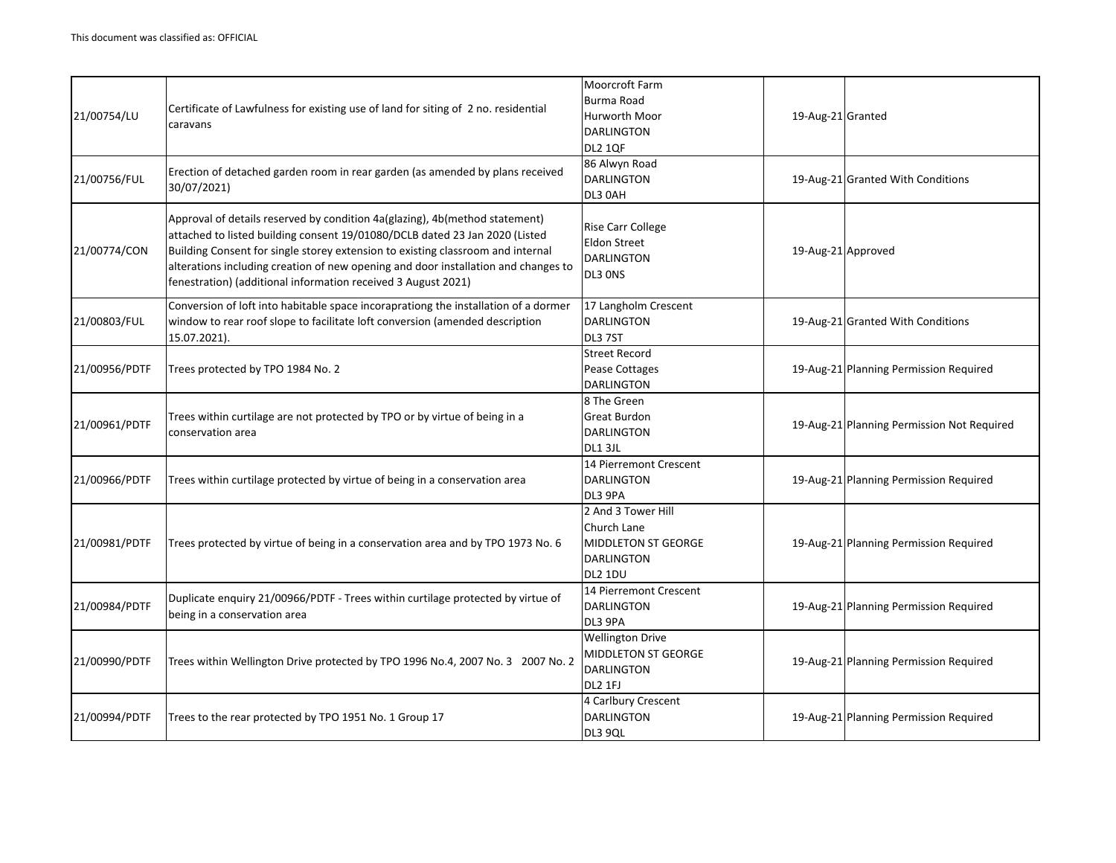| 21/00754/LU   | Certificate of Lawfulness for existing use of land for siting of 2 no. residential<br>caravans                                                                                                                                                                                                                                                                                                       | Moorcroft Farm<br><b>Burma Road</b><br><b>Hurworth Moor</b><br><b>DARLINGTON</b><br><b>DL2 1QF</b> | 19-Aug-21 Granted                          |
|---------------|------------------------------------------------------------------------------------------------------------------------------------------------------------------------------------------------------------------------------------------------------------------------------------------------------------------------------------------------------------------------------------------------------|----------------------------------------------------------------------------------------------------|--------------------------------------------|
| 21/00756/FUL  | Erection of detached garden room in rear garden (as amended by plans received<br>30/07/2021)                                                                                                                                                                                                                                                                                                         | 86 Alwyn Road<br><b>DARLINGTON</b><br>DL3 0AH                                                      | 19-Aug-21 Granted With Conditions          |
| 21/00774/CON  | Approval of details reserved by condition 4a(glazing), 4b(method statement)<br>attached to listed building consent 19/01080/DCLB dated 23 Jan 2020 (Listed<br>Building Consent for single storey extension to existing classroom and internal<br>alterations including creation of new opening and door installation and changes to<br>fenestration) (additional information received 3 August 2021) | <b>Rise Carr College</b><br><b>Eldon Street</b><br><b>DARLINGTON</b><br>DL3 ONS                    | 19-Aug-21 Approved                         |
| 21/00803/FUL  | Conversion of loft into habitable space incoraprationg the installation of a dormer<br>window to rear roof slope to facilitate loft conversion (amended description<br>15.07.2021).                                                                                                                                                                                                                  | 17 Langholm Crescent<br><b>DARLINGTON</b><br>DL3 7ST                                               | 19-Aug-21 Granted With Conditions          |
| 21/00956/PDTF | Trees protected by TPO 1984 No. 2                                                                                                                                                                                                                                                                                                                                                                    | <b>Street Record</b><br>Pease Cottages<br><b>DARLINGTON</b>                                        | 19-Aug-21 Planning Permission Required     |
| 21/00961/PDTF | Trees within curtilage are not protected by TPO or by virtue of being in a<br>conservation area                                                                                                                                                                                                                                                                                                      | 8 The Green<br><b>Great Burdon</b><br><b>DARLINGTON</b><br><b>DL1 3JL</b>                          | 19-Aug-21 Planning Permission Not Required |
| 21/00966/PDTF | Trees within curtilage protected by virtue of being in a conservation area                                                                                                                                                                                                                                                                                                                           | 14 Pierremont Crescent<br><b>DARLINGTON</b><br>DL3 9PA                                             | 19-Aug-21 Planning Permission Required     |
| 21/00981/PDTF | Trees protected by virtue of being in a conservation area and by TPO 1973 No. 6                                                                                                                                                                                                                                                                                                                      | 2 And 3 Tower Hill<br>Church Lane<br><b>MIDDLETON ST GEORGE</b><br><b>DARLINGTON</b><br>DL2 1DU    | 19-Aug-21 Planning Permission Required     |
| 21/00984/PDTF | Duplicate enquiry 21/00966/PDTF - Trees within curtilage protected by virtue of<br>being in a conservation area                                                                                                                                                                                                                                                                                      | 14 Pierremont Crescent<br><b>DARLINGTON</b><br>DL3 9PA                                             | 19-Aug-21 Planning Permission Required     |
| 21/00990/PDTF | Trees within Wellington Drive protected by TPO 1996 No.4, 2007 No. 3 2007 No. 2                                                                                                                                                                                                                                                                                                                      | <b>Wellington Drive</b><br>MIDDLETON ST GEORGE<br><b>DARLINGTON</b><br>DL2 1FJ                     | 19-Aug-21 Planning Permission Required     |
| 21/00994/PDTF | Trees to the rear protected by TPO 1951 No. 1 Group 17                                                                                                                                                                                                                                                                                                                                               | 4 Carlbury Crescent<br><b>DARLINGTON</b><br>DL3 9QL                                                | 19-Aug-21 Planning Permission Required     |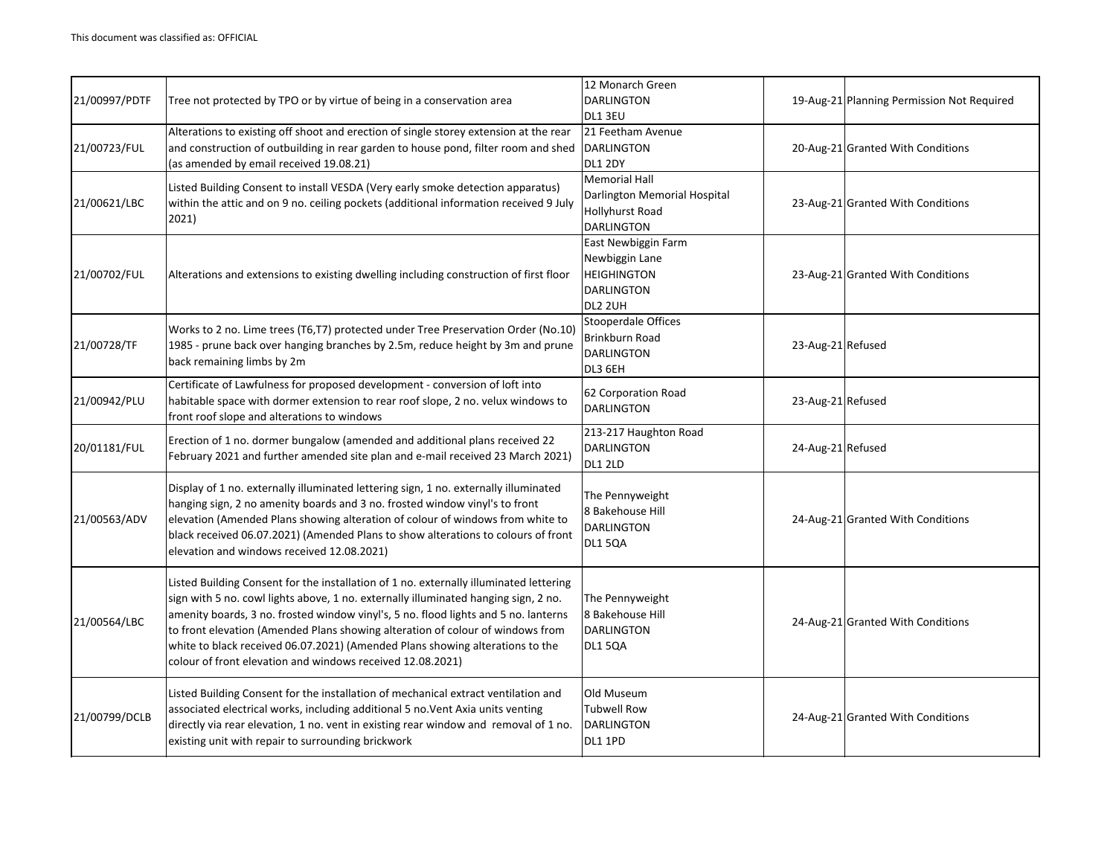| 21/00997/PDTF | Tree not protected by TPO or by virtue of being in a conservation area                                                                                                                                                                                                                                                                                                                                                                                                                                | 12 Monarch Green<br><b>DARLINGTON</b><br>DL1 3EU                                             |                   | 19-Aug-21 Planning Permission Not Required |
|---------------|-------------------------------------------------------------------------------------------------------------------------------------------------------------------------------------------------------------------------------------------------------------------------------------------------------------------------------------------------------------------------------------------------------------------------------------------------------------------------------------------------------|----------------------------------------------------------------------------------------------|-------------------|--------------------------------------------|
| 21/00723/FUL  | Alterations to existing off shoot and erection of single storey extension at the rear<br>and construction of outbuilding in rear garden to house pond, filter room and shed<br>(as amended by email received 19.08.21)                                                                                                                                                                                                                                                                                | 21 Feetham Avenue<br><b>DARLINGTON</b><br><b>DL1 2DY</b>                                     |                   | 20-Aug-21 Granted With Conditions          |
| 21/00621/LBC  | Listed Building Consent to install VESDA (Very early smoke detection apparatus)<br>within the attic and on 9 no. ceiling pockets (additional information received 9 July<br>2021)                                                                                                                                                                                                                                                                                                                     | <b>Memorial Hall</b><br>Darlington Memorial Hospital<br>Hollyhurst Road<br><b>DARLINGTON</b> |                   | 23-Aug-21 Granted With Conditions          |
| 21/00702/FUL  | Alterations and extensions to existing dwelling including construction of first floor                                                                                                                                                                                                                                                                                                                                                                                                                 | East Newbiggin Farm<br>Newbiggin Lane<br><b>HEIGHINGTON</b><br><b>DARLINGTON</b><br>DL2 2UH  |                   | 23-Aug-21 Granted With Conditions          |
| 21/00728/TF   | Works to 2 no. Lime trees (T6,T7) protected under Tree Preservation Order (No.10)<br>1985 - prune back over hanging branches by 2.5m, reduce height by 3m and prune<br>back remaining limbs by 2m                                                                                                                                                                                                                                                                                                     | Stooperdale Offices<br>Brinkburn Road<br><b>DARLINGTON</b><br>DL3 6EH                        | 23-Aug-21 Refused |                                            |
| 21/00942/PLU  | Certificate of Lawfulness for proposed development - conversion of loft into<br>habitable space with dormer extension to rear roof slope, 2 no. velux windows to<br>front roof slope and alterations to windows                                                                                                                                                                                                                                                                                       | 62 Corporation Road<br><b>DARLINGTON</b>                                                     | 23-Aug-21 Refused |                                            |
| 20/01181/FUL  | Erection of 1 no. dormer bungalow (amended and additional plans received 22<br>February 2021 and further amended site plan and e-mail received 23 March 2021)                                                                                                                                                                                                                                                                                                                                         | 213-217 Haughton Road<br><b>DARLINGTON</b><br><b>DL1 2LD</b>                                 | 24-Aug-21 Refused |                                            |
| 21/00563/ADV  | Display of 1 no. externally illuminated lettering sign, 1 no. externally illuminated<br>hanging sign, 2 no amenity boards and 3 no. frosted window vinyl's to front<br>elevation (Amended Plans showing alteration of colour of windows from white to<br>black received 06.07.2021) (Amended Plans to show alterations to colours of front<br>elevation and windows received 12.08.2021)                                                                                                              | The Pennyweight<br>8 Bakehouse Hill<br><b>DARLINGTON</b><br><b>DL1 5QA</b>                   |                   | 24-Aug-21 Granted With Conditions          |
| 21/00564/LBC  | Listed Building Consent for the installation of 1 no. externally illuminated lettering<br>sign with 5 no. cowl lights above, 1 no. externally illuminated hanging sign, 2 no.<br>amenity boards, 3 no. frosted window vinyl's, 5 no. flood lights and 5 no. lanterns<br>to front elevation (Amended Plans showing alteration of colour of windows from<br>white to black received 06.07.2021) (Amended Plans showing alterations to the<br>colour of front elevation and windows received 12.08.2021) | The Pennyweight<br>8 Bakehouse Hill<br><b>DARLINGTON</b><br><b>DL1 5QA</b>                   |                   | 24-Aug-21 Granted With Conditions          |
| 21/00799/DCLB | Listed Building Consent for the installation of mechanical extract ventilation and<br>associated electrical works, including additional 5 no. Vent Axia units venting<br>directly via rear elevation, 1 no. vent in existing rear window and removal of 1 no.<br>existing unit with repair to surrounding brickwork                                                                                                                                                                                   | Old Museum<br><b>Tubwell Row</b><br><b>DARLINGTON</b><br><b>DL1 1PD</b>                      |                   | 24-Aug-21 Granted With Conditions          |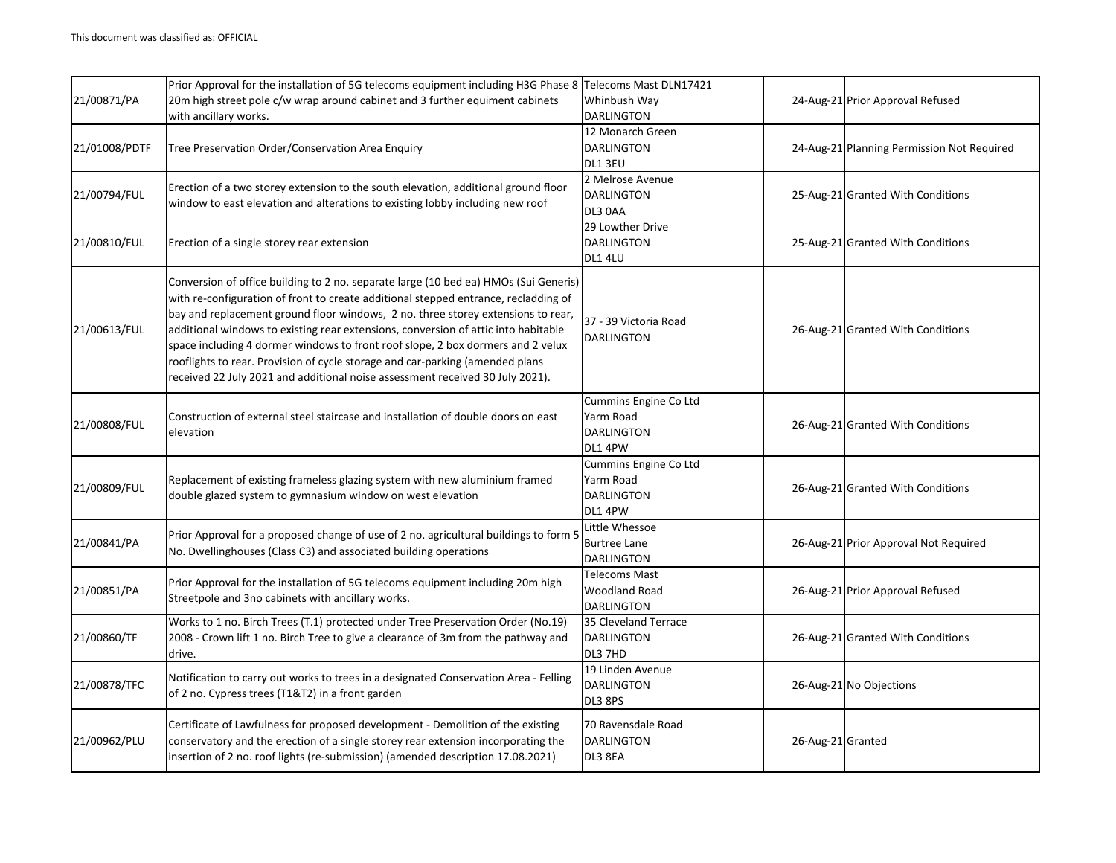|               | Prior Approval for the installation of 5G telecoms equipment including H3G Phase 8 Telecoms Mast DLN17421                                                                                                                                                                                                                                                                                                                                                                                                                                                                                                  |                                                                    |                   |                                            |
|---------------|------------------------------------------------------------------------------------------------------------------------------------------------------------------------------------------------------------------------------------------------------------------------------------------------------------------------------------------------------------------------------------------------------------------------------------------------------------------------------------------------------------------------------------------------------------------------------------------------------------|--------------------------------------------------------------------|-------------------|--------------------------------------------|
| 21/00871/PA   | 20m high street pole c/w wrap around cabinet and 3 further equiment cabinets                                                                                                                                                                                                                                                                                                                                                                                                                                                                                                                               | Whinbush Way                                                       |                   | 24-Aug-21 Prior Approval Refused           |
|               | with ancillary works.                                                                                                                                                                                                                                                                                                                                                                                                                                                                                                                                                                                      | <b>DARLINGTON</b>                                                  |                   |                                            |
| 21/01008/PDTF | Tree Preservation Order/Conservation Area Enquiry                                                                                                                                                                                                                                                                                                                                                                                                                                                                                                                                                          | 12 Monarch Green<br><b>DARLINGTON</b><br>DL1 3EU                   |                   | 24-Aug-21 Planning Permission Not Required |
| 21/00794/FUL  | Erection of a two storey extension to the south elevation, additional ground floor<br>window to east elevation and alterations to existing lobby including new roof                                                                                                                                                                                                                                                                                                                                                                                                                                        | 2 Melrose Avenue<br><b>DARLINGTON</b><br>DL3 0AA                   |                   | 25-Aug-21 Granted With Conditions          |
| 21/00810/FUL  | Erection of a single storey rear extension                                                                                                                                                                                                                                                                                                                                                                                                                                                                                                                                                                 | 29 Lowther Drive<br><b>DARLINGTON</b><br><b>DL1 4LU</b>            |                   | 25-Aug-21 Granted With Conditions          |
| 21/00613/FUL  | Conversion of office building to 2 no. separate large (10 bed ea) HMOs (Sui Generis)<br>with re-configuration of front to create additional stepped entrance, recladding of<br>bay and replacement ground floor windows, 2 no. three storey extensions to rear,<br>additional windows to existing rear extensions, conversion of attic into habitable<br>space including 4 dormer windows to front roof slope, 2 box dormers and 2 velux<br>rooflights to rear. Provision of cycle storage and car-parking (amended plans<br>received 22 July 2021 and additional noise assessment received 30 July 2021). | 37 - 39 Victoria Road<br><b>DARLINGTON</b>                         |                   | 26-Aug-21 Granted With Conditions          |
| 21/00808/FUL  | Construction of external steel staircase and installation of double doors on east<br>elevation                                                                                                                                                                                                                                                                                                                                                                                                                                                                                                             | Cummins Engine Co Ltd<br>Yarm Road<br><b>DARLINGTON</b><br>DL1 4PW |                   | 26-Aug-21 Granted With Conditions          |
| 21/00809/FUL  | Replacement of existing frameless glazing system with new aluminium framed<br>double glazed system to gymnasium window on west elevation                                                                                                                                                                                                                                                                                                                                                                                                                                                                   | Cummins Engine Co Ltd<br>Yarm Road<br><b>DARLINGTON</b><br>DL1 4PW |                   | 26-Aug-21 Granted With Conditions          |
| 21/00841/PA   | Prior Approval for a proposed change of use of 2 no. agricultural buildings to form 5<br>No. Dwellinghouses (Class C3) and associated building operations                                                                                                                                                                                                                                                                                                                                                                                                                                                  | Little Whessoe<br><b>Burtree Lane</b><br><b>DARLINGTON</b>         |                   | 26-Aug-21 Prior Approval Not Required      |
| 21/00851/PA   | Prior Approval for the installation of 5G telecoms equipment including 20m high<br>Streetpole and 3no cabinets with ancillary works.                                                                                                                                                                                                                                                                                                                                                                                                                                                                       | <b>Telecoms Mast</b><br><b>Woodland Road</b><br><b>DARLINGTON</b>  |                   | 26-Aug-21 Prior Approval Refused           |
| 21/00860/TF   | Works to 1 no. Birch Trees (T.1) protected under Tree Preservation Order (No.19)<br>2008 - Crown lift 1 no. Birch Tree to give a clearance of 3m from the pathway and<br>drive.                                                                                                                                                                                                                                                                                                                                                                                                                            | 35 Cleveland Terrace<br><b>DARLINGTON</b><br>DL3 7HD               |                   | 26-Aug-21 Granted With Conditions          |
| 21/00878/TFC  | Notification to carry out works to trees in a designated Conservation Area - Felling<br>of 2 no. Cypress trees (T1&T2) in a front garden                                                                                                                                                                                                                                                                                                                                                                                                                                                                   | 19 Linden Avenue<br><b>DARLINGTON</b><br>DL3 8PS                   |                   | 26-Aug-21 No Objections                    |
| 21/00962/PLU  | Certificate of Lawfulness for proposed development - Demolition of the existing<br>conservatory and the erection of a single storey rear extension incorporating the<br>insertion of 2 no. roof lights (re-submission) (amended description 17.08.2021)                                                                                                                                                                                                                                                                                                                                                    | 70 Ravensdale Road<br><b>DARLINGTON</b><br>DL3 8EA                 | 26-Aug-21 Granted |                                            |